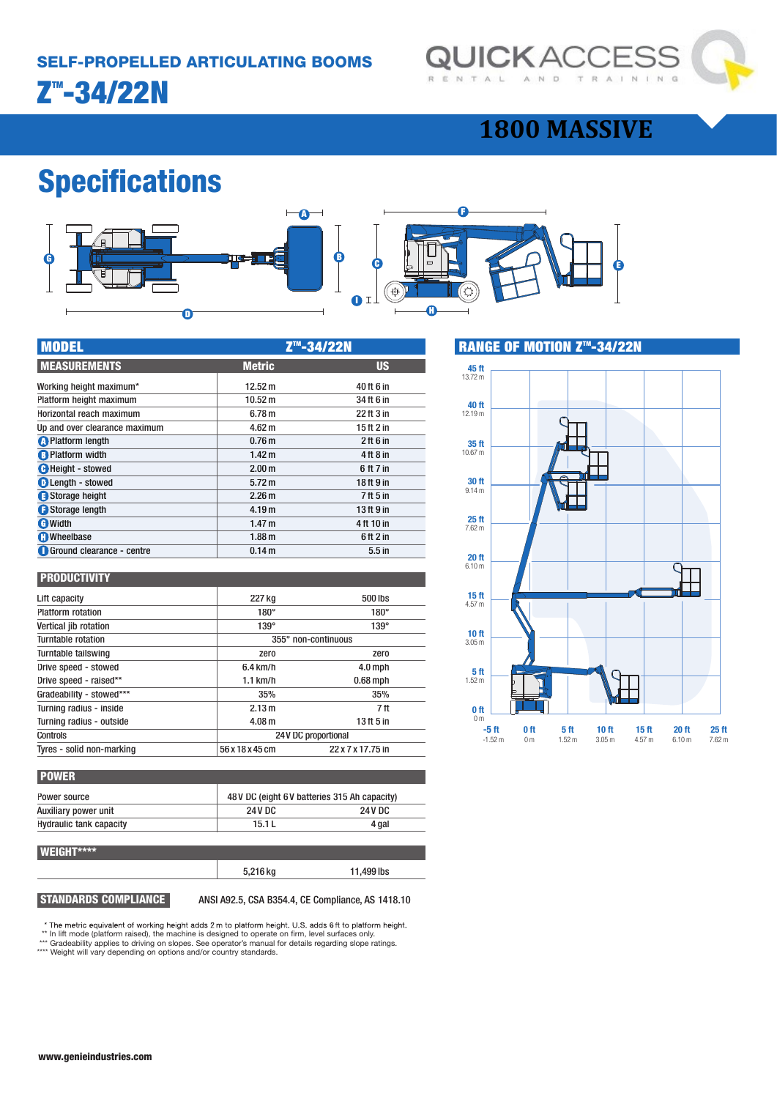

### **1800 MASSIVE**

## **Specifications**



| <b>MODEL</b>                  | Z <sup>™</sup> -34/22N |                                 |
|-------------------------------|------------------------|---------------------------------|
| <b>MEASUREMENTS</b>           | <b>Metric</b>          | <b>US</b>                       |
| Working height maximum*       | 12.52 m                | 40 ft 6 in                      |
| Platform height maximum       | 10.52 m                | 34 ft 6 in                      |
| Horizontal reach maximum      | 6.78 <sub>m</sub>      | 22 ft 3 in                      |
| Up and over clearance maximum | 4.62 <sub>m</sub>      | 15 ft 2 in                      |
| <b>O</b> Platform length      | 0.76 <sub>m</sub>      | $2$ ft 6 in                     |
| <b>B</b> Platform width       | 1.42 <sub>m</sub>      | $4$ ft $8$ in                   |
| <b>C</b> Height - stowed      | 2.00 <sub>m</sub>      | 6 ft 7 in                       |
| <b>D</b> Length - stowed      | 5.72 m                 | 18 ft 9 in                      |
| Storage height                | 2.26 <sub>m</sub>      | 7 <sup>ft</sup> 5 <sup>in</sup> |
| Storage length                | 4.19 <sub>m</sub>      | 13 ft 9 in                      |
| <b>O</b> Width                | 1.47 <sub>m</sub>      | 4ft 10 in                       |
| <b>O</b> Wheelbase            | 1.88 <sub>m</sub>      | $6$ ft $2$ in                   |
| Ground clearance - centre     | 0.14 <sub>m</sub>      | 5.5 <sub>in</sub>               |

#### **PRODUCTIVITY**

| Lift capacity             | 227 kg            | 500 lbs             |  |
|---------------------------|-------------------|---------------------|--|
| <b>Platform rotation</b>  | $180^\circ$       | $180^\circ$         |  |
| Vertical jib rotation     | $139^\circ$       | $139^\circ$         |  |
| Turntable rotation        |                   | 355° non-continuous |  |
| Turntable tailswing       | zero              | zero                |  |
| Drive speed - stowed      | $6.4$ km/h        | $4.0$ mph           |  |
| Drive speed - raised**    | $1.1$ km/h        | $0.68$ mph          |  |
| Gradeability - stowed***  | 35%               | 35%                 |  |
| Turning radius - inside   | 2.13 m            | 7ft                 |  |
| Turning radius - outside  | 4.08 <sub>m</sub> | 13 ft 5 in          |  |
| Controls                  |                   | 24V DC proportional |  |
| Tyres - solid non-marking | 56 x 18 x 45 cm   | 22 x 7 x 17.75 in   |  |
|                           |                   |                     |  |

| <b>POWER</b>                   |         |                                               |  |
|--------------------------------|---------|-----------------------------------------------|--|
| Power source                   |         | 48 V DC (eight 6 V batteries 315 Ah capacity) |  |
| Auxiliary power unit           | 24 V DC | 24 V DC                                       |  |
| <b>Hydraulic tank capacity</b> | 15.1L   | 4 gal                                         |  |
|                                |         |                                               |  |

#### **WEIGHT\*\*\*\***

# 5,216 kg 11,499 lbs

**STANDARDS COMPLIANCE** ANSI A92.5, CSA B354.4, CE Compliance, AS 1418.10

\* The metric equivalent of working height adds 2 m to platform height. U.S. adds 6 ft to platform height.<br>\*\* In lift mode (platform raised), the machine is designed to operate on firm, level surfaces only.

\*\*\* Gradeability applies to driving on slopes. See operator's manual for details regarding slope ratings. \*\*\*\* Weight will vary depending on options and/or country standards.